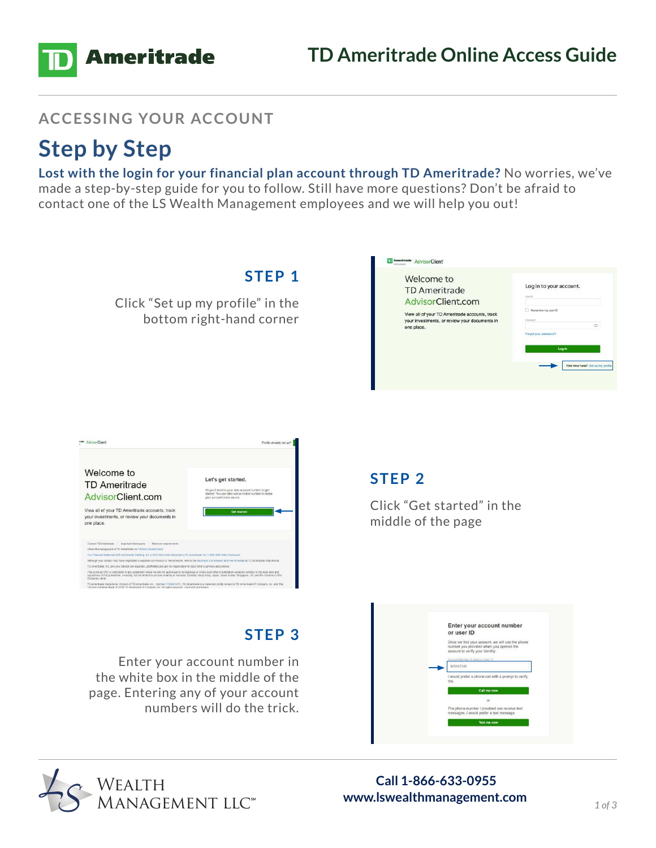

#### **ACCESSING YOUR ACCOUNT**

## **Step by Step**

**Lost with the login for your financial plan account through TD Ameritrade?** No worries, we've made a step-by-step guide for you to follow. Still have more questions? Don't be afraid to contact one of the LS Wealth Management employees and we will help you out!



## Enter your account number in the white box in the middle of the page. Entering any of your account numbers will do the trick.

The is not an offer or solicitation in any jurisdiction where we are not actitionade to do business or where such offer or solicitation would be contrary to the local laws<br>regulations of that jurisdiction, including, but n TO Ameltope institution. Division of TO Americade, Inc., member FINRA/ SPC, TD Americade is a trademark jointy owned by TD A Toronto Common thank @ 2018 TD Area in the Company for A Toplay and the State of United States

**STEP 3**

# Enter your account number or user ID nce we find your we find your account, we will use the pf<br>ier you provided when you opened the<br>unt to verify your identity.



# **www.lswealthmanagement.com** *1 of 3*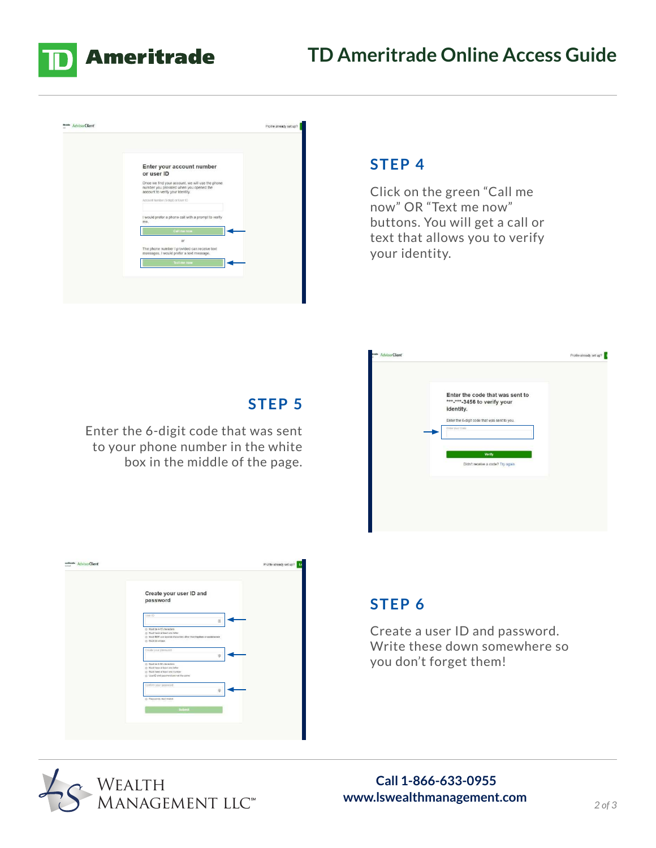





#### **STEP 4**

Click on the green "Call me now" OR "Text me now" buttons. You will get a call or text that allows you to verify your identity.



### **STEP 5**

Enter the 6-digit code that was sent to your phone number in the white box in the middle of the page.

| Create your user ID and<br>password                                                                                                                     |  |
|---------------------------------------------------------------------------------------------------------------------------------------------------------|--|
| Ct nsc/<br>田                                                                                                                                            |  |
| @ Must be 4-15 characters<br>() Must have at least one letter<br>(b) Must NOT use special characters other than hyphes or underscore<br>@ Middle unique |  |
| Create your password<br>$\oplus$                                                                                                                        |  |
| C Marl be E-64 cluraders<br>(2) Must have at least one letter<br>(3) Mart have at feast one number<br>@ UserID and paceword are not the came            |  |
| Contem your password:<br>甫                                                                                                                              |  |
| C Passwords must reatch<br>19911000                                                                                                                     |  |
| Submit                                                                                                                                                  |  |
|                                                                                                                                                         |  |

### **STEP 6**

Create a user ID and password. Write these down somewhere so you don't forget them!